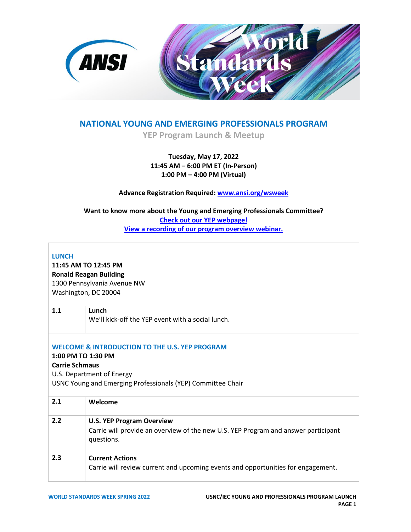

## **NATIONAL YOUNG AND EMERGING PROFESSIONALS PROGRAM**

**YEP Program Launch & Meetup**

### **Tuesday, May 17, 2022 11:45 AM – 6:00 PM ET (In-Person) 1:00 PM – 4:00 PM (Virtual)**

**Advance Registration Required: [www.ansi.org/wsweek](http://www.ansi.org/wsweek)** 

**Want to know more about the Young and Emerging Professionals Committee? [Check out our YEP webpage!](https://www.ansi.org/usnc-iec/programs-activities/young-and-emerging-professionals) [View a recording of our program overview webinar.](https://www.youtube.com/watch?v=BEQ1qLTkb2o)**

#### **LUNCH**

**11:45 AM TO 12:45 PM Ronald Reagan Building** 1300 Pennsylvania Avenue NW Washington, DC 20004

| 1.1                                                                                                                                                                                                  | Lunch<br>We'll kick-off the YEP event with a social lunch.                                                                           |  |
|------------------------------------------------------------------------------------------------------------------------------------------------------------------------------------------------------|--------------------------------------------------------------------------------------------------------------------------------------|--|
| <b>WELCOME &amp; INTRODUCTION TO THE U.S. YEP PROGRAM</b><br>1:00 PM TO 1:30 PM<br><b>Carrie Schmaus</b><br>U.S. Department of Energy<br>USNC Young and Emerging Professionals (YEP) Committee Chair |                                                                                                                                      |  |
| 2.1                                                                                                                                                                                                  | Welcome                                                                                                                              |  |
| 2.2                                                                                                                                                                                                  | <b>U.S. YEP Program Overview</b><br>Carrie will provide an overview of the new U.S. YEP Program and answer participant<br>questions. |  |
| 2.3                                                                                                                                                                                                  | <b>Current Actions</b><br>Carrie will review current and upcoming events and opportunities for engagement.                           |  |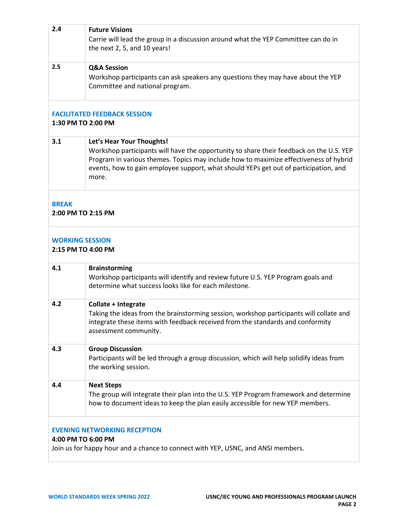| 2.4                                                                                                                                           | <b>Future Visions</b><br>Carrie will lead the group in a discussion around what the YEP Committee can do in<br>the next 2, 5, and 10 years!                                                                                                                                                                    |  |
|-----------------------------------------------------------------------------------------------------------------------------------------------|----------------------------------------------------------------------------------------------------------------------------------------------------------------------------------------------------------------------------------------------------------------------------------------------------------------|--|
| 2.5                                                                                                                                           | <b>Q&amp;A Session</b><br>Workshop participants can ask speakers any questions they may have about the YEP<br>Committee and national program.                                                                                                                                                                  |  |
| <b>FACILITATED FEEDBACK SESSION</b><br>1:30 PM TO 2:00 PM                                                                                     |                                                                                                                                                                                                                                                                                                                |  |
| 3.1                                                                                                                                           | Let's Hear Your Thoughts!<br>Workshop participants will have the opportunity to share their feedback on the U.S. YEP<br>Program in various themes. Topics may include how to maximize effectiveness of hybrid<br>events, how to gain employee support, what should YEPs get out of participation, and<br>more. |  |
| <b>BREAK</b><br>2:00 PM TO 2:15 PM                                                                                                            |                                                                                                                                                                                                                                                                                                                |  |
| <b>WORKING SESSION</b><br>2:15 PM TO 4:00 PM                                                                                                  |                                                                                                                                                                                                                                                                                                                |  |
| 4.1                                                                                                                                           | <b>Brainstorming</b><br>Workshop participants will identify and review future U.S. YEP Program goals and<br>determine what success looks like for each milestone.                                                                                                                                              |  |
| 4.2                                                                                                                                           | Collate + Integrate<br>Taking the ideas from the brainstorming session, workshop participants will collate and<br>integrate these items with feedback received from the standards and conformity<br>assessment community.                                                                                      |  |
| 4.3                                                                                                                                           | <b>Group Discussion</b><br>Participants will be led through a group discussion, which will help solidify ideas from<br>the working session.                                                                                                                                                                    |  |
| 4.4                                                                                                                                           | <b>Next Steps</b><br>The group will integrate their plan into the U.S. YEP Program framework and determine<br>how to document ideas to keep the plan easily accessible for new YEP members.                                                                                                                    |  |
| <b>EVENING NETWORKING RECEPTION</b><br>4:00 PM TO 6:00 PM<br>Join us for happy hour and a chance to connect with YEP, USNC, and ANSI members. |                                                                                                                                                                                                                                                                                                                |  |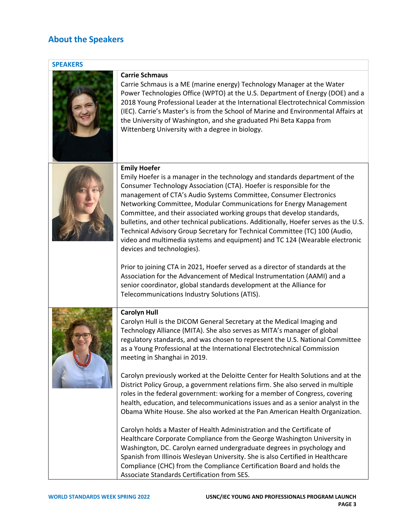# **About the Speakers**

| <b>SPEAKERS</b> |                                                                                                                                                                                                                                                                                                                                                                                                                                                                                                                                                                                                                                                                                     |
|-----------------|-------------------------------------------------------------------------------------------------------------------------------------------------------------------------------------------------------------------------------------------------------------------------------------------------------------------------------------------------------------------------------------------------------------------------------------------------------------------------------------------------------------------------------------------------------------------------------------------------------------------------------------------------------------------------------------|
|                 | <b>Carrie Schmaus</b><br>Carrie Schmaus is a ME (marine energy) Technology Manager at the Water<br>Power Technologies Office (WPTO) at the U.S. Department of Energy (DOE) and a<br>2018 Young Professional Leader at the International Electrotechnical Commission<br>(IEC). Carrie's Master's is from the School of Marine and Environmental Affairs at<br>the University of Washington, and she graduated Phi Beta Kappa from<br>Wittenberg University with a degree in biology.                                                                                                                                                                                                 |
|                 | <b>Emily Hoefer</b><br>Emily Hoefer is a manager in the technology and standards department of the<br>Consumer Technology Association (CTA). Hoefer is responsible for the<br>management of CTA's Audio Systems Committee, Consumer Electronics<br>Networking Committee, Modular Communications for Energy Management<br>Committee, and their associated working groups that develop standards,<br>bulletins, and other technical publications. Additionally, Hoefer serves as the U.S.<br>Technical Advisory Group Secretary for Technical Committee (TC) 100 (Audio,<br>video and multimedia systems and equipment) and TC 124 (Wearable electronic<br>devices and technologies). |
|                 | Prior to joining CTA in 2021, Hoefer served as a director of standards at the<br>Association for the Advancement of Medical Instrumentation (AAMI) and a<br>senior coordinator, global standards development at the Alliance for<br>Telecommunications Industry Solutions (ATIS).                                                                                                                                                                                                                                                                                                                                                                                                   |
|                 | <b>Carolyn Hull</b><br>Carolyn Hull is the DICOM General Secretary at the Medical Imaging and<br>Technology Alliance (MITA). She also serves as MITA's manager of global<br>regulatory standards, and was chosen to represent the U.S. National Committee<br>as a Young Professional at the International Electrotechnical Commission<br>meeting in Shanghai in 2019.                                                                                                                                                                                                                                                                                                               |
|                 | Carolyn previously worked at the Deloitte Center for Health Solutions and at the<br>District Policy Group, a government relations firm. She also served in multiple<br>roles in the federal government: working for a member of Congress, covering<br>health, education, and telecommunications issues and as a senior analyst in the<br>Obama White House. She also worked at the Pan American Health Organization.                                                                                                                                                                                                                                                                |
|                 | Carolyn holds a Master of Health Administration and the Certificate of<br>Healthcare Corporate Compliance from the George Washington University in<br>Washington, DC. Carolyn earned undergraduate degrees in psychology and<br>Spanish from Illinois Wesleyan University. She is also Certified in Healthcare<br>Compliance (CHC) from the Compliance Certification Board and holds the<br>Associate Standards Certification from SES.                                                                                                                                                                                                                                             |